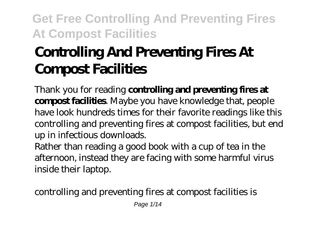# **Controlling And Preventing Fires At Compost Facilities**

Thank you for reading **controlling and preventing fires at compost facilities**. Maybe you have knowledge that, people have look hundreds times for their favorite readings like this controlling and preventing fires at compost facilities, but end up in infectious downloads.

Rather than reading a good book with a cup of tea in the afternoon, instead they are facing with some harmful virus inside their laptop.

controlling and preventing fires at compost facilities is

Page 1/14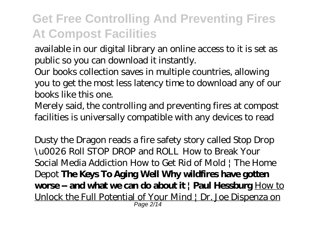available in our digital library an online access to it is set as public so you can download it instantly.

Our books collection saves in multiple countries, allowing you to get the most less latency time to download any of our books like this one.

Merely said, the controlling and preventing fires at compost facilities is universally compatible with any devices to read

Dusty the Dragon reads a fire safety story called Stop Drop \u0026 Roll STOP DROP and ROLL *How to Break Your Social Media Addiction How to Get Rid of Mold | The Home Depot* **The Keys To Aging Well Why wildfires have gotten worse -- and what we can do about it | Paul Hessburg** How to Unlock the Full Potential of Your Mind | Dr. Joe Dispenza on Page 2/14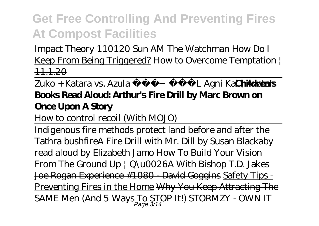Impact Theory 110120 Sun AM The Watchman How Do I Keep From Being Triggered? How to Overcome Temptation | 11.1.20

### Zuko + Katara vs. Azula FULL Agni Kai ¦ Avat**ahildren's Books Read Aloud: Arthur's Fire Drill by Marc Brown on Once Upon A Story**

How to control recoil (With MOJO)

Indigenous fire methods protect land before and after the Tathra bushfire*A Fire Drill with Mr. Dill by Susan Blackaby read aloud by Elizabeth Jamo How To Build Your Vision From The Ground Up | Q\u0026A With Bishop T.D. Jakes* Joe Rogan Experience #1080 - David Goggins Safety Tips - Preventing Fires in the Home Why You Keep Attracting The SAME Men (And 5 Ways To STOP It!) STORMZY - OWN IT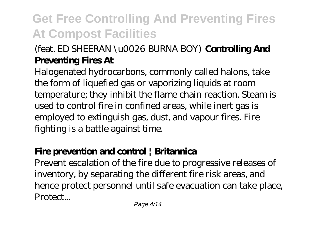### (feat. ED SHEERAN \u0026 BURNA BOY) **Controlling And Preventing Fires At**

Halogenated hydrocarbons, commonly called halons, take the form of liquefied gas or vaporizing liquids at room temperature; they inhibit the flame chain reaction. Steam is used to control fire in confined areas, while inert gas is employed to extinguish gas, dust, and vapour fires. Fire fighting is a battle against time.

### **Fire prevention and control | Britannica**

Prevent escalation of the fire due to progressive releases of inventory, by separating the different fire risk areas, and hence protect personnel until safe evacuation can take place, Protect...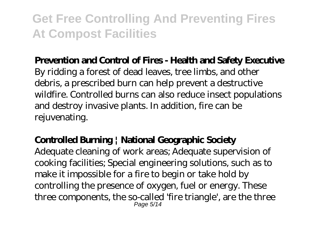#### **Prevention and Control of Fires - Health and Safety Executive**

By ridding a forest of dead leaves, tree limbs, and other debris, a prescribed burn can help prevent a destructive wildfire. Controlled burns can also reduce insect populations and destroy invasive plants. In addition, fire can be rejuvenating.

### **Controlled Burning | National Geographic Society**

Adequate cleaning of work areas; Adequate supervision of cooking facilities; Special engineering solutions, such as to make it impossible for a fire to begin or take hold by controlling the presence of oxygen, fuel or energy. These three components, the so-called 'fire triangle', are the three Page 5/14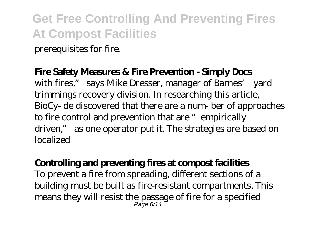prerequisites for fire.

#### **Fire Safety Measures & Fire Prevention - Simply Docs**

with fires," says Mike Dresser, manager of Barnes' yard trimmings recovery division. In researching this article, BioCy- de discovered that there are a num- ber of approaches to fire control and prevention that are "empirically driven," as one operator put it. The strategies are based on localized

#### **Controlling and preventing fires at compost facilities**

To prevent a fire from spreading, different sections of a building must be built as fire-resistant compartments. This means they will resist the passage of fire for a specified Page 6/14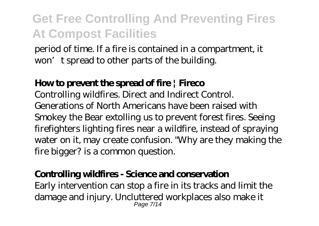period of time. If a fire is contained in a compartment, it won't spread to other parts of the building.

#### **How to prevent the spread of fire | Fireco**

Controlling wildfires. Direct and Indirect Control. Generations of North Americans have been raised with Smokey the Bear extolling us to prevent forest fires. Seeing firefighters lighting fires near a wildfire, instead of spraying water on it, may create confusion. "Why are they making the fire bigger? is a common question.

#### **Controlling wildfires - Science and conservation**

Early intervention can stop a fire in its tracks and limit the damage and injury. Uncluttered workplaces also make it Page 7/14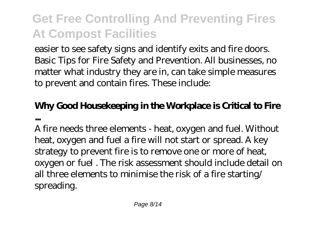easier to see safety signs and identify exits and fire doors. Basic Tips for Fire Safety and Prevention. All businesses, no matter what industry they are in, can take simple measures to prevent and contain fires. These include:

### **Why Good Housekeeping in the Workplace is Critical to Fire ...**

A fire needs three elements - heat, oxygen and fuel. Without heat, oxygen and fuel a fire will not start or spread. A key strategy to prevent fire is to remove one or more of heat, oxygen or fuel . The risk assessment should include detail on all three elements to minimise the risk of a fire starting/ spreading.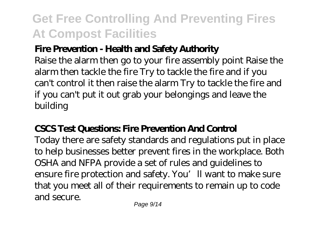### **Fire Prevention - Health and Safety Authority**

Raise the alarm then go to your fire assembly point Raise the alarm then tackle the fire Try to tackle the fire and if you can't control it then raise the alarm Try to tackle the fire and if you can't put it out grab your belongings and leave the building

### **CSCS Test Questions: Fire Prevention And Control**

Today there are safety standards and regulations put in place to help businesses better prevent fires in the workplace. Both OSHA and NFPA provide a set of rules and guidelines to ensure fire protection and safety. You'll want to make sure that you meet all of their requirements to remain up to code and secure.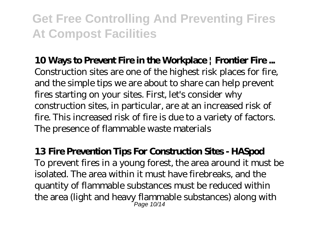#### **10 Ways to Prevent Fire in the Workplace | Frontier Fire ...**

Construction sites are one of the highest risk places for fire, and the simple tips we are about to share can help prevent fires starting on your sites. First, let's consider why construction sites, in particular, are at an increased risk of fire. This increased risk of fire is due to a variety of factors. The presence of flammable waste materials

#### **13 Fire Prevention Tips For Construction Sites - HASpod** To prevent fires in a young forest, the area around it must be isolated. The area within it must have firebreaks, and the quantity of flammable substances must be reduced within the area (light and heavy flammable substances) along with Page 10/14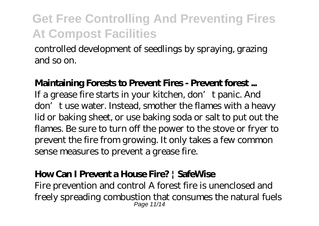controlled development of seedlings by spraying, grazing and so on.

#### **Maintaining Forests to Prevent Fires - Prevent forest ...**

If a grease fire starts in your kitchen, don't panic. And don't use water. Instead, smother the flames with a heavy lid or baking sheet, or use baking soda or salt to put out the flames. Be sure to turn off the power to the stove or fryer to prevent the fire from growing. It only takes a few common sense measures to prevent a grease fire.

#### **How Can I Prevent a House Fire? | SafeWise**

Fire prevention and control A forest fire is unenclosed and freely spreading combustion that consumes the natural fuels Page 11/14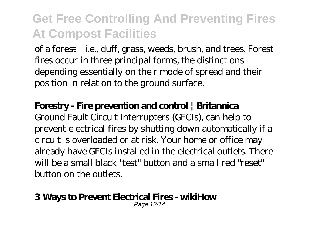of a forest—i.e., duff, grass, weeds, brush, and trees. Forest fires occur in three principal forms, the distinctions depending essentially on their mode of spread and their position in relation to the ground surface.

#### **Forestry - Fire prevention and control | Britannica**

Ground Fault Circuit Interrupters (GFCIs), can help to prevent electrical fires by shutting down automatically if a circuit is overloaded or at risk. Your home or office may already have GFCIs installed in the electrical outlets. There will be a small black "test" button and a small red "reset" button on the outlets.

#### **3 Ways to Prevent Electrical Fires - wikiHow**

Page 12/14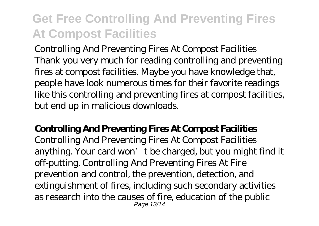Controlling And Preventing Fires At Compost Facilities Thank you very much for reading controlling and preventing fires at compost facilities. Maybe you have knowledge that, people have look numerous times for their favorite readings like this controlling and preventing fires at compost facilities, but end up in malicious downloads.

#### **Controlling And Preventing Fires At Compost Facilities**

Controlling And Preventing Fires At Compost Facilities anything. Your card won't be charged, but you might find it off-putting. Controlling And Preventing Fires At Fire prevention and control, the prevention, detection, and extinguishment of fires, including such secondary activities as research into the causes of fire, education of the public Page 13/14